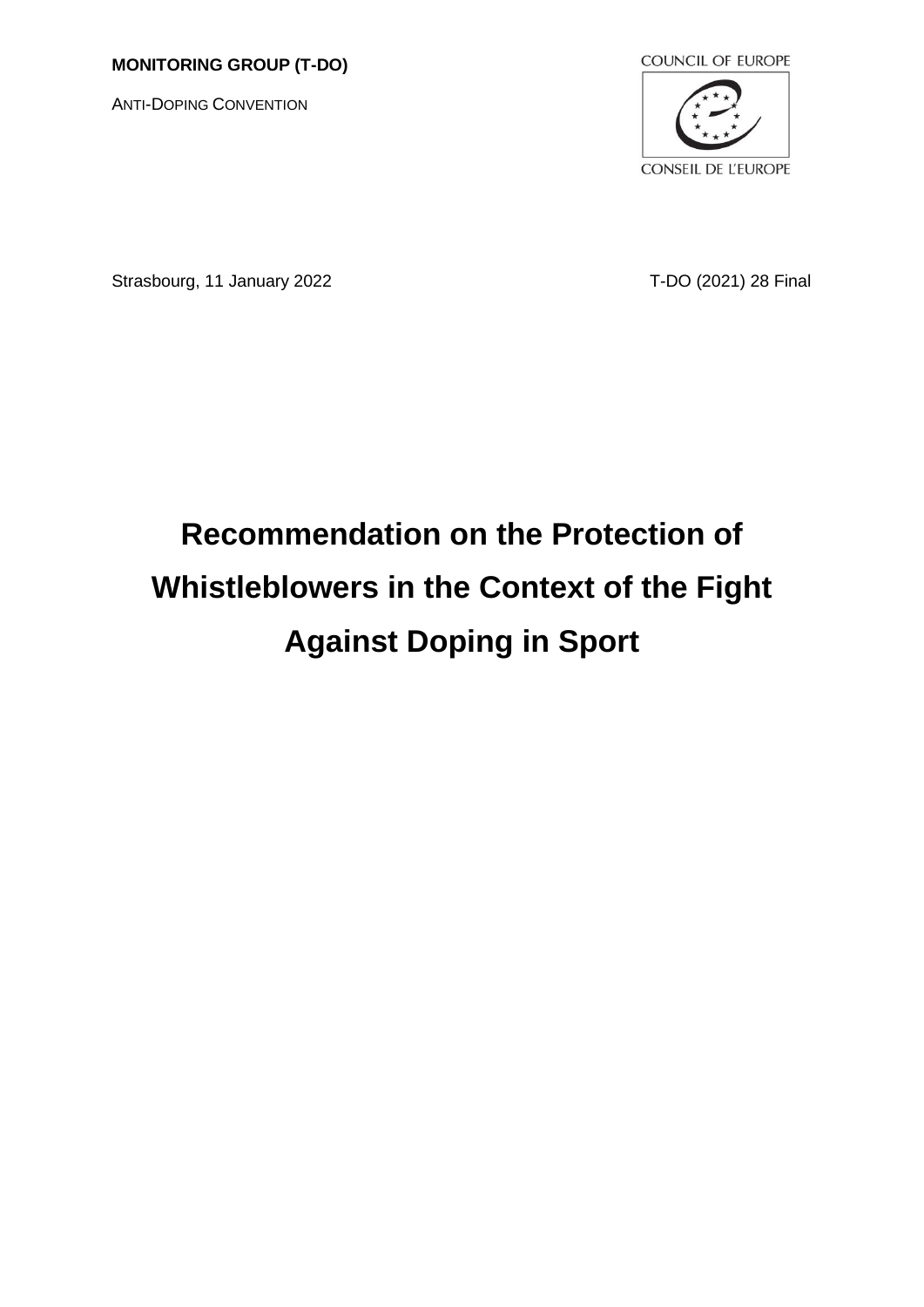# **MONITORING GROUP (T-DO)**

ANTI-DOPING CONVENTION



Strasbourg, 11 January 2022 T-DO (2021) 28 Final

# **Recommendation on the Protection of Whistleblowers in the Context of the Fight Against Doping in Sport**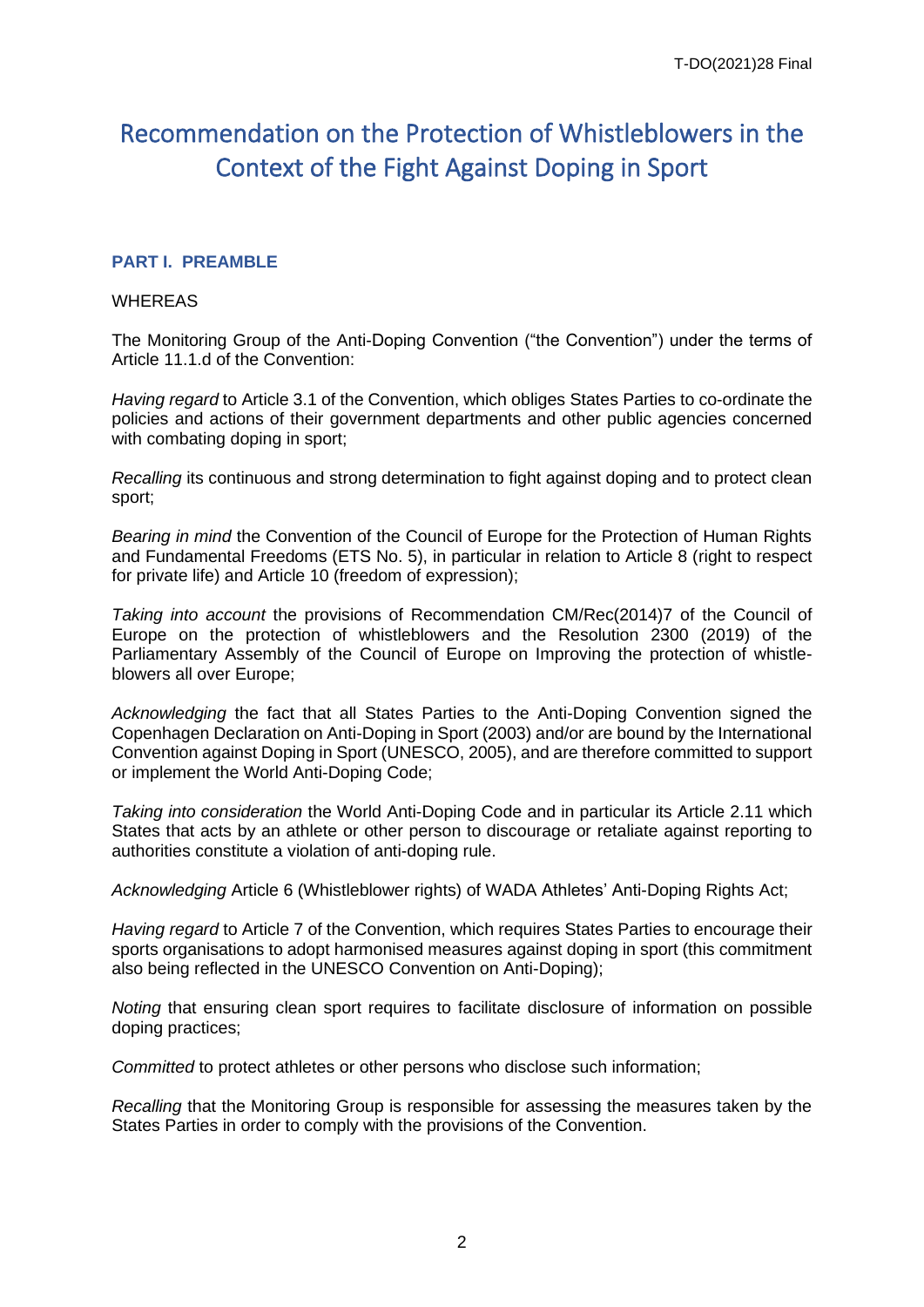# Recommendation on the Protection of Whistleblowers in the Context of the Fight Against Doping in Sport

# **PART I. PREAMBLE**

#### WHEREAS

The Monitoring Group of the Anti-Doping Convention ("the Convention") under the terms of Article 11.1.d of the Convention:

*Having regard* to Article 3.1 of the Convention, which obliges States Parties to co-ordinate the policies and actions of their government departments and other public agencies concerned with combating doping in sport;

*Recalling* its continuous and strong determination to fight against doping and to protect clean sport;

*Bearing in mind* the Convention of the Council of Europe for the Protection of Human Rights and Fundamental Freedoms (ETS No. 5), in particular in relation to Article 8 (right to respect for private life) and Article 10 (freedom of expression);

*Taking into account* the provisions of Recommendation CM/Rec(2014)7 of the Council of Europe on the protection of whistleblowers and the Resolution 2300 (2019) of the Parliamentary Assembly of the Council of Europe on Improving the protection of whistleblowers all over Europe;

*Acknowledging* the fact that all States Parties to the Anti-Doping Convention signed the Copenhagen Declaration on Anti-Doping in Sport (2003) and/or are bound by the International Convention against Doping in Sport (UNESCO, 2005), and are therefore committed to support or implement the World Anti-Doping Code;

*Taking into consideration* the World Anti-Doping Code and in particular its Article 2.11 which States that acts by an athlete or other person to discourage or retaliate against reporting to authorities constitute a violation of anti-doping rule.

*Acknowledging* Article 6 (Whistleblower rights) of WADA Athletes' Anti-Doping Rights Act;

*Having regard* to Article 7 of the Convention, which requires States Parties to encourage their sports organisations to adopt harmonised measures against doping in sport (this commitment also being reflected in the UNESCO Convention on Anti-Doping);

*Noting* that ensuring clean sport requires to facilitate disclosure of information on possible doping practices;

*Committed* to protect athletes or other persons who disclose such information;

*Recalling* that the Monitoring Group is responsible for assessing the measures taken by the States Parties in order to comply with the provisions of the Convention.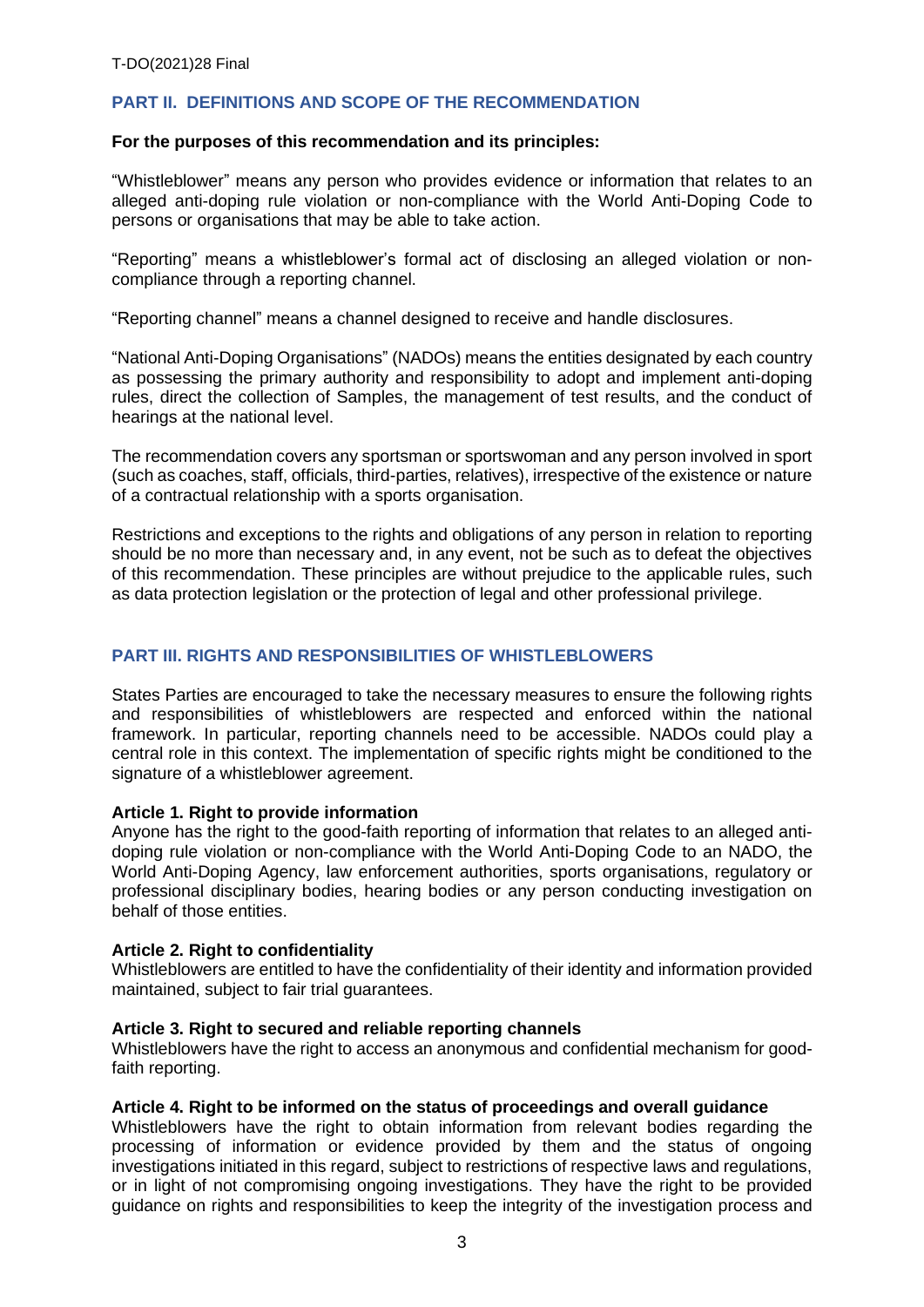# **PART II. DEFINITIONS AND SCOPE OF THE RECOMMENDATION**

#### **For the purposes of this recommendation and its principles:**

"Whistleblower" means any person who provides evidence or information that relates to an alleged anti-doping rule violation or non-compliance with the World Anti-Doping Code to persons or organisations that may be able to take action.

"Reporting" means a whistleblower's formal act of disclosing an alleged violation or noncompliance through a reporting channel.

"Reporting channel" means a channel designed to receive and handle disclosures.

"National Anti-Doping Organisations" (NADOs) means the entities designated by each country as possessing the primary authority and responsibility to adopt and implement anti-doping rules, direct the collection of Samples, the management of test results, and the conduct of hearings at the national level.

The recommendation covers any sportsman or sportswoman and any person involved in sport (such as coaches, staff, officials, third-parties, relatives), irrespective of the existence or nature of a contractual relationship with a sports organisation.

Restrictions and exceptions to the rights and obligations of any person in relation to reporting should be no more than necessary and, in any event, not be such as to defeat the objectives of this recommendation. These principles are without prejudice to the applicable rules, such as data protection legislation or the protection of legal and other professional privilege.

# **PART III. RIGHTS AND RESPONSIBILITIES OF WHISTLEBLOWERS**

States Parties are encouraged to take the necessary measures to ensure the following rights and responsibilities of whistleblowers are respected and enforced within the national framework. In particular, reporting channels need to be accessible. NADOs could play a central role in this context. The implementation of specific rights might be conditioned to the signature of a whistleblower agreement.

#### **Article 1. Right to provide information**

Anyone has the right to the good-faith reporting of information that relates to an alleged antidoping rule violation or non-compliance with the World Anti-Doping Code to an NADO, the World Anti-Doping Agency, law enforcement authorities, sports organisations, regulatory or professional disciplinary bodies, hearing bodies or any person conducting investigation on behalf of those entities.

#### **Article 2. Right to confidentiality**

Whistleblowers are entitled to have the confidentiality of their identity and information provided maintained, subject to fair trial guarantees.

#### **Article 3. Right to secured and reliable reporting channels**

Whistleblowers have the right to access an anonymous and confidential mechanism for goodfaith reporting.

#### **Article 4. Right to be informed on the status of proceedings and overall guidance**

Whistleblowers have the right to obtain information from relevant bodies regarding the processing of information or evidence provided by them and the status of ongoing investigations initiated in this regard, subject to restrictions of respective laws and regulations, or in light of not compromising ongoing investigations. They have the right to be provided guidance on rights and responsibilities to keep the integrity of the investigation process and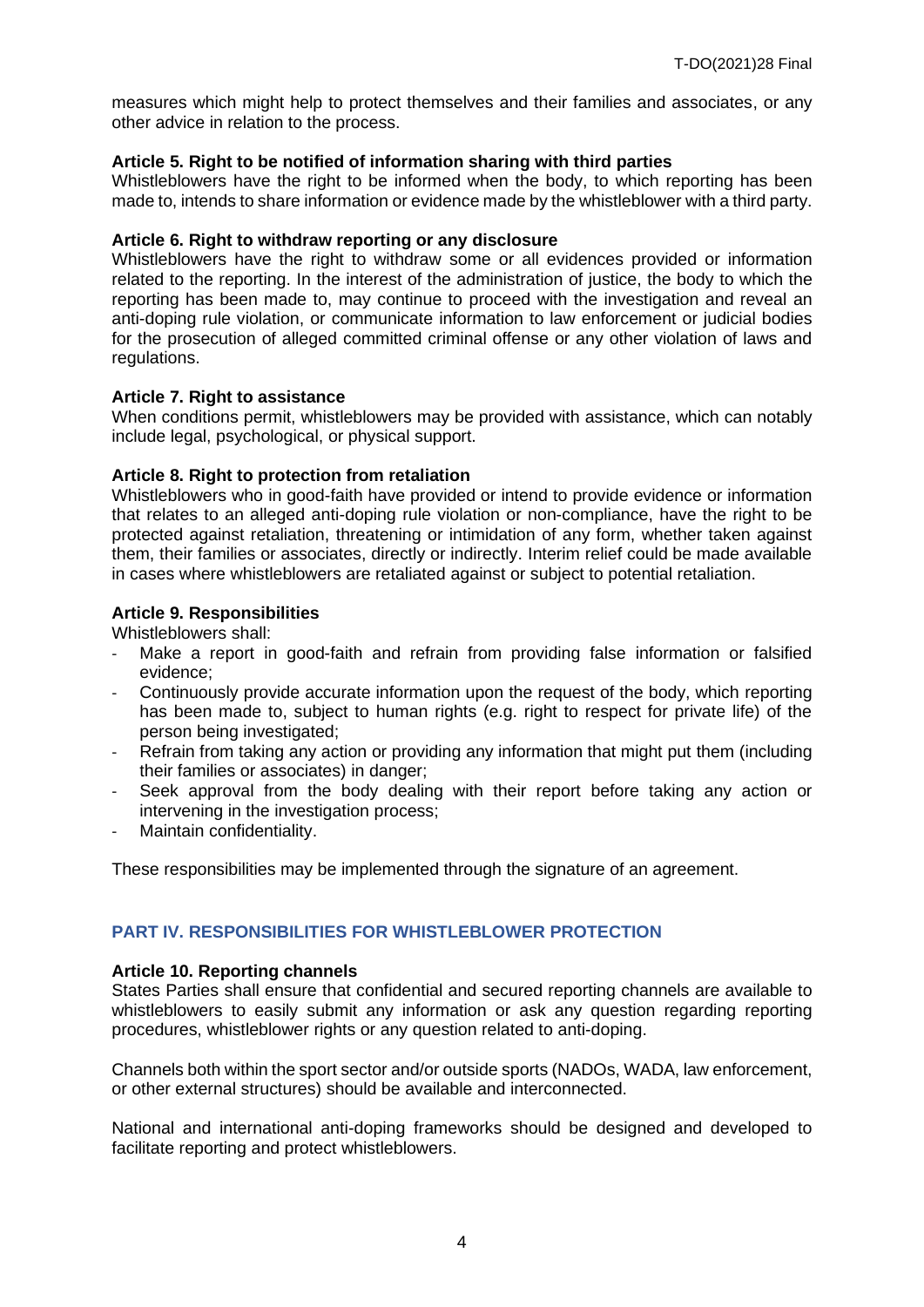measures which might help to protect themselves and their families and associates, or any other advice in relation to the process.

# **Article 5. Right to be notified of information sharing with third parties**

Whistleblowers have the right to be informed when the body, to which reporting has been made to, intends to share information or evidence made by the whistleblower with a third party.

#### **Article 6. Right to withdraw reporting or any disclosure**

Whistleblowers have the right to withdraw some or all evidences provided or information related to the reporting. In the interest of the administration of justice, the body to which the reporting has been made to, may continue to proceed with the investigation and reveal an anti-doping rule violation, or communicate information to law enforcement or judicial bodies for the prosecution of alleged committed criminal offense or any other violation of laws and regulations.

#### **Article 7. Right to assistance**

When conditions permit, whistleblowers may be provided with assistance, which can notably include legal, psychological, or physical support.

#### **Article 8. Right to protection from retaliation**

Whistleblowers who in good-faith have provided or intend to provide evidence or information that relates to an alleged anti-doping rule violation or non-compliance, have the right to be protected against retaliation, threatening or intimidation of any form, whether taken against them, their families or associates, directly or indirectly. Interim relief could be made available in cases where whistleblowers are retaliated against or subject to potential retaliation.

# **Article 9. Responsibilities**

Whistleblowers shall:

- Make a report in good-faith and refrain from providing false information or falsified evidence;
- Continuously provide accurate information upon the request of the body, which reporting has been made to, subject to human rights (e.g. right to respect for private life) of the person being investigated;
- Refrain from taking any action or providing any information that might put them (including their families or associates) in danger;
- Seek approval from the body dealing with their report before taking any action or intervening in the investigation process;
- Maintain confidentiality.

These responsibilities may be implemented through the signature of an agreement.

# **PART IV. RESPONSIBILITIES FOR WHISTLEBLOWER PROTECTION**

#### **Article 10. Reporting channels**

States Parties shall ensure that confidential and secured reporting channels are available to whistleblowers to easily submit any information or ask any question regarding reporting procedures, whistleblower rights or any question related to anti-doping.

Channels both within the sport sector and/or outside sports (NADOs, WADA, law enforcement, or other external structures) should be available and interconnected.

National and international anti-doping frameworks should be designed and developed to facilitate reporting and protect whistleblowers.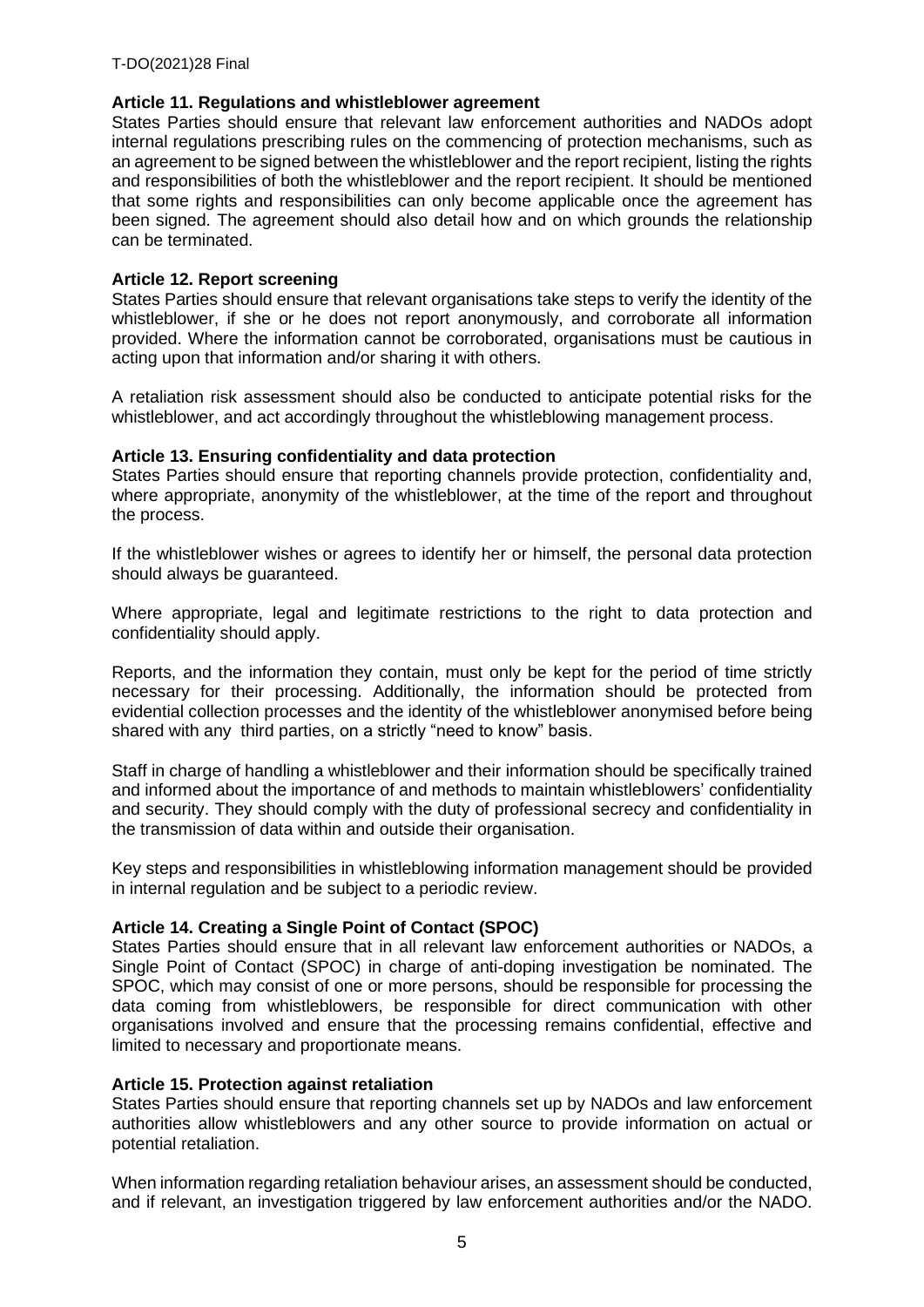# **Article 11. Regulations and whistleblower agreement**

States Parties should ensure that relevant law enforcement authorities and NADOs adopt internal regulations prescribing rules on the commencing of protection mechanisms, such as an agreement to be signed between the whistleblower and the report recipient, listing the rights and responsibilities of both the whistleblower and the report recipient. It should be mentioned that some rights and responsibilities can only become applicable once the agreement has been signed. The agreement should also detail how and on which grounds the relationship can be terminated.

# **Article 12. Report screening**

States Parties should ensure that relevant organisations take steps to verify the identity of the whistleblower, if she or he does not report anonymously, and corroborate all information provided. Where the information cannot be corroborated, organisations must be cautious in acting upon that information and/or sharing it with others.

A retaliation risk assessment should also be conducted to anticipate potential risks for the whistleblower, and act accordingly throughout the whistleblowing management process.

# **Article 13. Ensuring confidentiality and data protection**

States Parties should ensure that reporting channels provide protection, confidentiality and, where appropriate, anonymity of the whistleblower, at the time of the report and throughout the process.

If the whistleblower wishes or agrees to identify her or himself, the personal data protection should always be guaranteed.

Where appropriate, legal and legitimate restrictions to the right to data protection and confidentiality should apply.

Reports, and the information they contain, must only be kept for the period of time strictly necessary for their processing. Additionally, the information should be protected from evidential collection processes and the identity of the whistleblower anonymised before being shared with any third parties, on a strictly "need to know" basis.

Staff in charge of handling a whistleblower and their information should be specifically trained and informed about the importance of and methods to maintain whistleblowers' confidentiality and security. They should comply with the duty of professional secrecy and confidentiality in the transmission of data within and outside their organisation.

Key steps and responsibilities in whistleblowing information management should be provided in internal regulation and be subject to a periodic review.

# **Article 14. Creating a Single Point of Contact (SPOC)**

States Parties should ensure that in all relevant law enforcement authorities or NADOs, a Single Point of Contact (SPOC) in charge of anti-doping investigation be nominated. The SPOC, which may consist of one or more persons, should be responsible for processing the data coming from whistleblowers, be responsible for direct communication with other organisations involved and ensure that the processing remains confidential, effective and limited to necessary and proportionate means.

# **Article 15. Protection against retaliation**

States Parties should ensure that reporting channels set up by NADOs and law enforcement authorities allow whistleblowers and any other source to provide information on actual or potential retaliation.

When information regarding retaliation behaviour arises, an assessment should be conducted, and if relevant, an investigation triggered by law enforcement authorities and/or the NADO.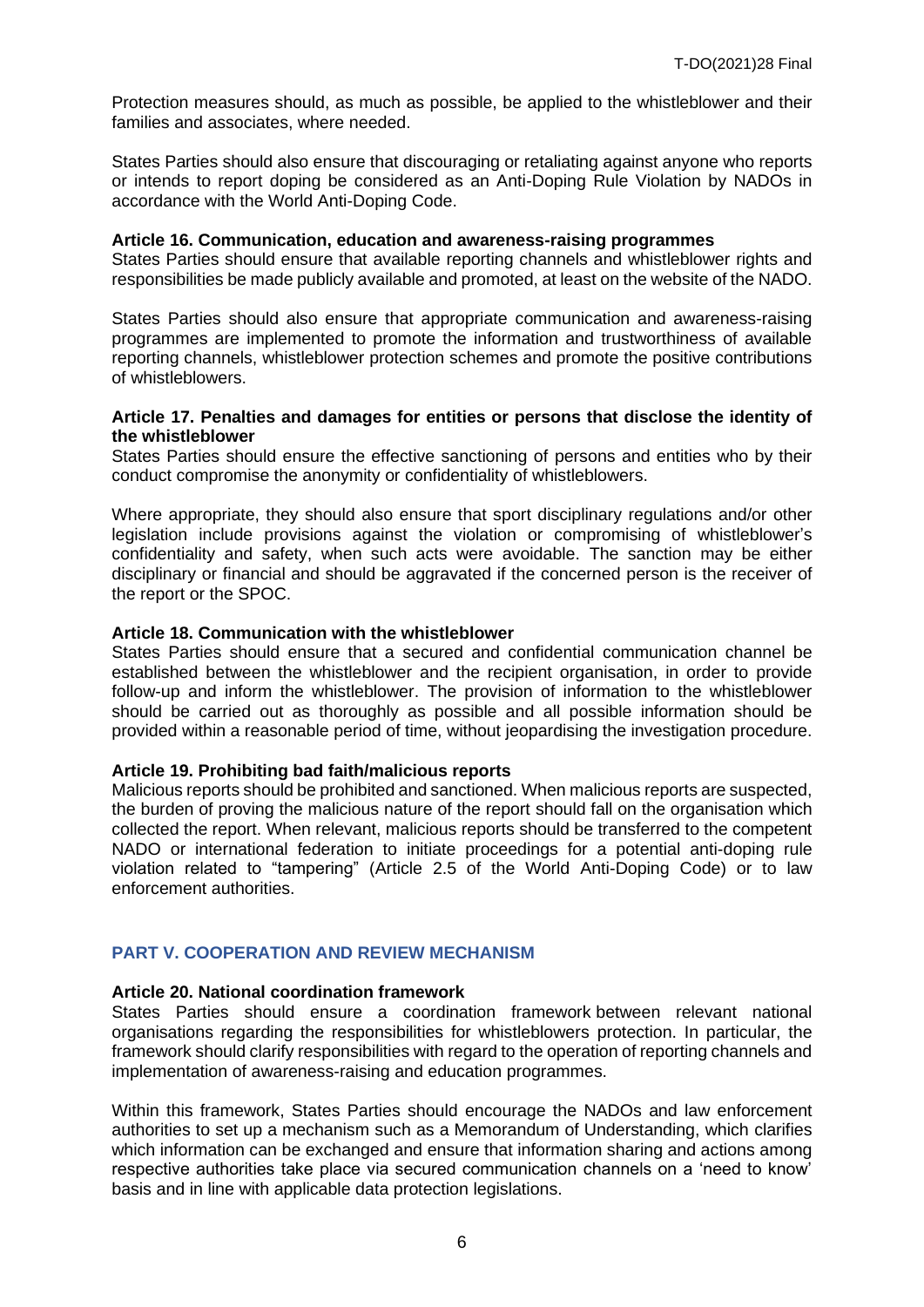Protection measures should, as much as possible, be applied to the whistleblower and their families and associates, where needed.

States Parties should also ensure that discouraging or retaliating against anyone who reports or intends to report doping be considered as an Anti-Doping Rule Violation by NADOs in accordance with the World Anti-Doping Code.

#### **Article 16. Communication, education and awareness-raising programmes**

States Parties should ensure that available reporting channels and whistleblower rights and responsibilities be made publicly available and promoted, at least on the website of the NADO.

States Parties should also ensure that appropriate communication and awareness-raising programmes are implemented to promote the information and trustworthiness of available reporting channels, whistleblower protection schemes and promote the positive contributions of whistleblowers.

#### **Article 17. Penalties and damages for entities or persons that disclose the identity of the whistleblower**

States Parties should ensure the effective sanctioning of persons and entities who by their conduct compromise the anonymity or confidentiality of whistleblowers.

Where appropriate, they should also ensure that sport disciplinary regulations and/or other legislation include provisions against the violation or compromising of whistleblower's confidentiality and safety, when such acts were avoidable. The sanction may be either disciplinary or financial and should be aggravated if the concerned person is the receiver of the report or the SPOC.

#### **Article 18. Communication with the whistleblower**

States Parties should ensure that a secured and confidential communication channel be established between the whistleblower and the recipient organisation, in order to provide follow-up and inform the whistleblower. The provision of information to the whistleblower should be carried out as thoroughly as possible and all possible information should be provided within a reasonable period of time, without jeopardising the investigation procedure.

#### **Article 19. Prohibiting bad faith/malicious reports**

Malicious reports should be prohibited and sanctioned. When malicious reports are suspected, the burden of proving the malicious nature of the report should fall on the organisation which collected the report. When relevant, malicious reports should be transferred to the competent NADO or international federation to initiate proceedings for a potential anti-doping rule violation related to "tampering" (Article 2.5 of the World Anti-Doping Code) or to law enforcement authorities.

# **PART V. COOPERATION AND REVIEW MECHANISM**

# **Article 20. National coordination framework**

States Parties should ensure a coordination framework between relevant national organisations regarding the responsibilities for whistleblowers protection. In particular, the framework should clarify responsibilities with regard to the operation of reporting channels and implementation of awareness-raising and education programmes.

Within this framework, States Parties should encourage the NADOs and law enforcement authorities to set up a mechanism such as a Memorandum of Understanding, which clarifies which information can be exchanged and ensure that information sharing and actions among respective authorities take place via secured communication channels on a 'need to know' basis and in line with applicable data protection legislations.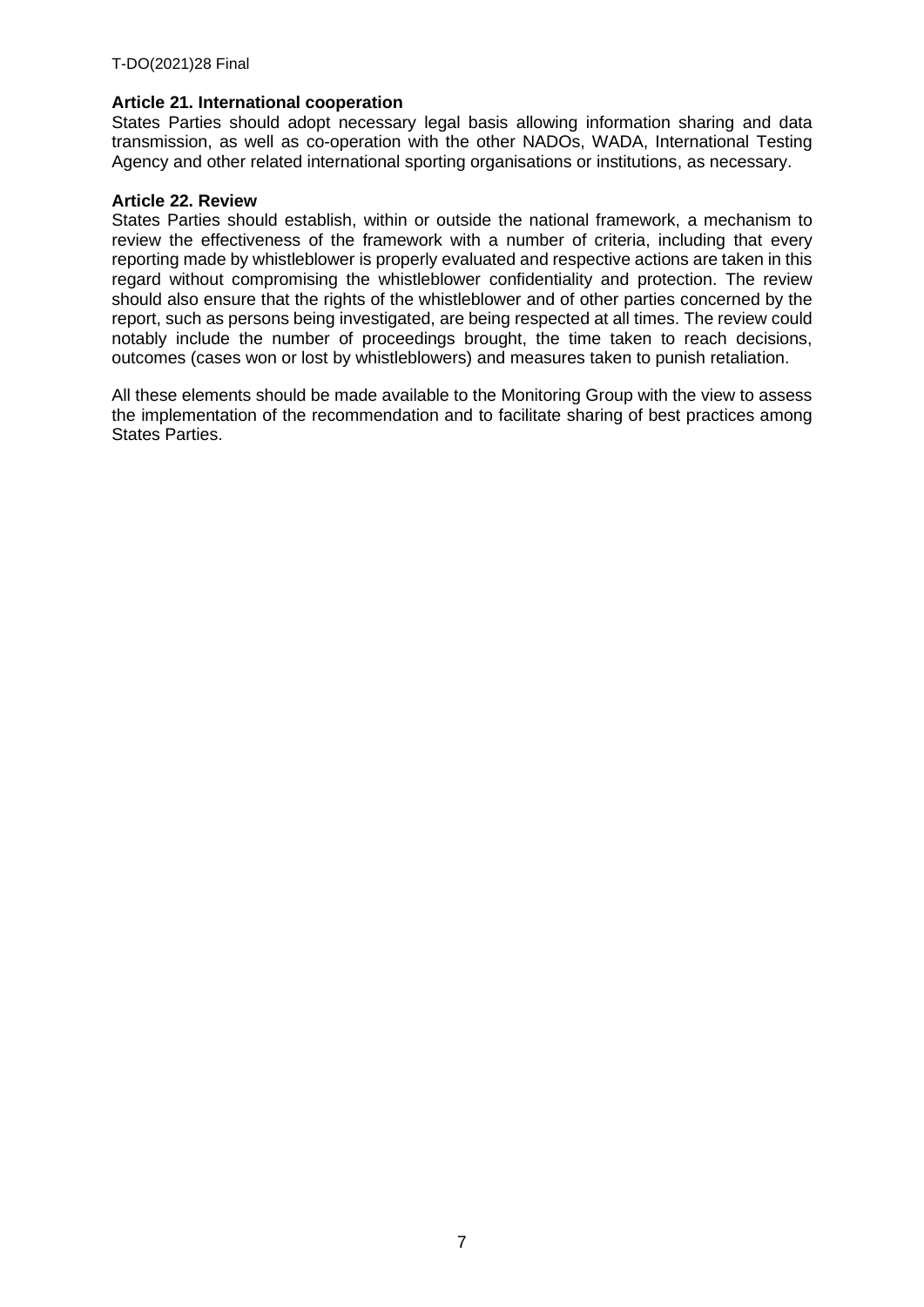# **Article 21. International cooperation**

States Parties should adopt necessary legal basis allowing information sharing and data transmission, as well as co-operation with the other NADOs, WADA, International Testing Agency and other related international sporting organisations or institutions, as necessary.

# **Article 22. Review**

States Parties should establish, within or outside the national framework, a mechanism to review the effectiveness of the framework with a number of criteria, including that every reporting made by whistleblower is properly evaluated and respective actions are taken in this regard without compromising the whistleblower confidentiality and protection. The review should also ensure that the rights of the whistleblower and of other parties concerned by the report, such as persons being investigated, are being respected at all times. The review could notably include the number of proceedings brought, the time taken to reach decisions, outcomes (cases won or lost by whistleblowers) and measures taken to punish retaliation.

All these elements should be made available to the Monitoring Group with the view to assess the implementation of the recommendation and to facilitate sharing of best practices among States Parties.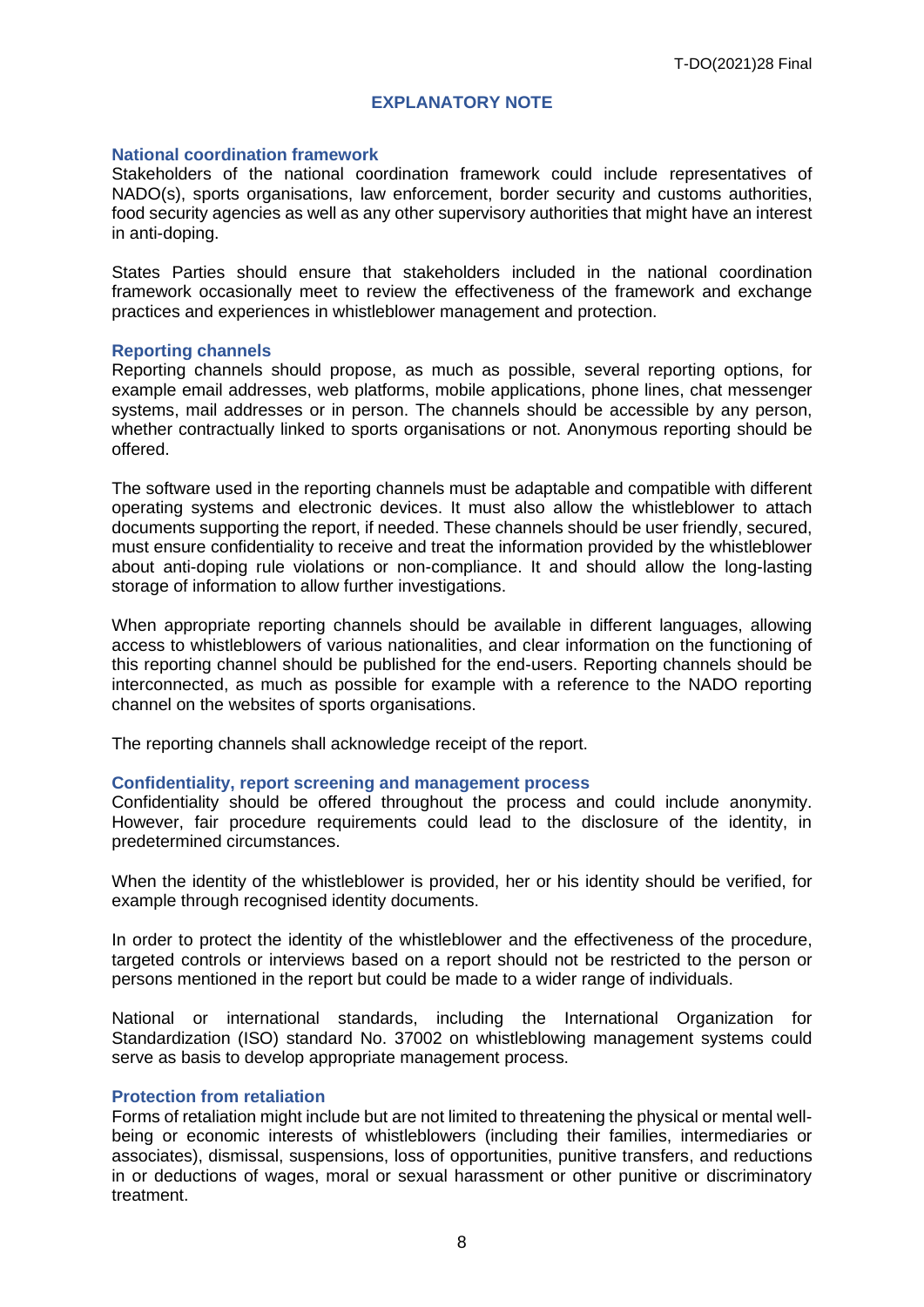# **EXPLANATORY NOTE**

#### **National coordination framework**

Stakeholders of the national coordination framework could include representatives of NADO(s), sports organisations, law enforcement, border security and customs authorities, food security agencies as well as any other supervisory authorities that might have an interest in anti-doping.

States Parties should ensure that stakeholders included in the national coordination framework occasionally meet to review the effectiveness of the framework and exchange practices and experiences in whistleblower management and protection.

#### **Reporting channels**

Reporting channels should propose, as much as possible, several reporting options, for example email addresses, web platforms, mobile applications, phone lines, chat messenger systems, mail addresses or in person. The channels should be accessible by any person, whether contractually linked to sports organisations or not. Anonymous reporting should be offered.

The software used in the reporting channels must be adaptable and compatible with different operating systems and electronic devices. It must also allow the whistleblower to attach documents supporting the report, if needed. These channels should be user friendly, secured, must ensure confidentiality to receive and treat the information provided by the whistleblower about anti-doping rule violations or non-compliance. It and should allow the long-lasting storage of information to allow further investigations.

When appropriate reporting channels should be available in different languages, allowing access to whistleblowers of various nationalities, and clear information on the functioning of this reporting channel should be published for the end-users. Reporting channels should be interconnected, as much as possible for example with a reference to the NADO reporting channel on the websites of sports organisations.

The reporting channels shall acknowledge receipt of the report.

#### **Confidentiality, report screening and management process**

Confidentiality should be offered throughout the process and could include anonymity. However, fair procedure requirements could lead to the disclosure of the identity, in predetermined circumstances.

When the identity of the whistleblower is provided, her or his identity should be verified, for example through recognised identity documents.

In order to protect the identity of the whistleblower and the effectiveness of the procedure, targeted controls or interviews based on a report should not be restricted to the person or persons mentioned in the report but could be made to a wider range of individuals.

National or international standards, including the International Organization for Standardization (ISO) standard No. 37002 on whistleblowing management systems could serve as basis to develop appropriate management process.

#### **Protection from retaliation**

Forms of retaliation might include but are not limited to threatening the physical or mental wellbeing or economic interests of whistleblowers (including their families, intermediaries or associates), dismissal, suspensions, loss of opportunities, punitive transfers, and reductions in or deductions of wages, moral or sexual harassment or other punitive or discriminatory treatment.